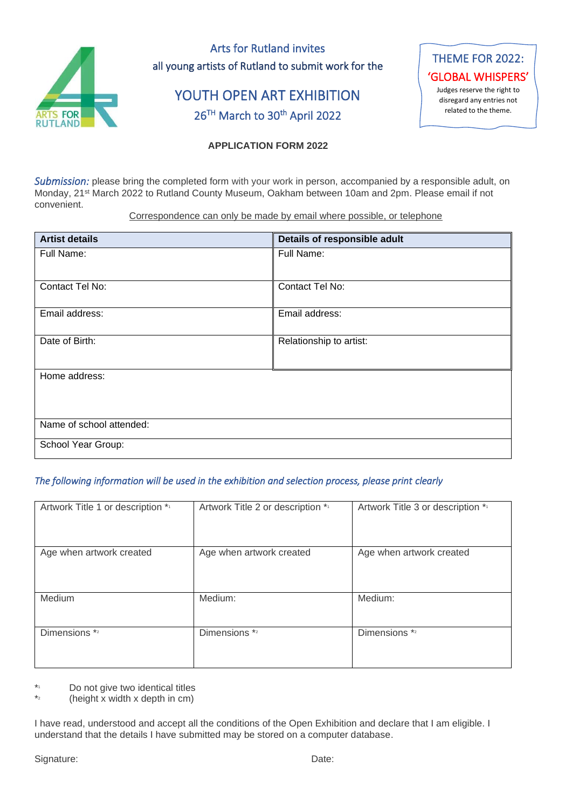

Arts for Rutland invites all young artists of Rutland to submit work for the

# YOUTH OPEN ART EXHIBITION 26<sup>TH</sup> March to 30<sup>th</sup> April 2022



## **APPLICATION FORM 2022**

*Submission:* please bring the completed form with your work in person, accompanied by a responsible adult, on Monday, 21st March 2022 to Rutland County Museum, Oakham between 10am and 2pm. Please email if not convenient.

Correspondence can only be made by email where possible, or telephone

| <b>Artist details</b>    | Details of responsible adult |  |
|--------------------------|------------------------------|--|
| Full Name:               | Full Name:                   |  |
|                          |                              |  |
| Contact Tel No:          | Contact Tel No:              |  |
| Email address:           | Email address:               |  |
| Date of Birth:           | Relationship to artist:      |  |
| Home address:            |                              |  |
|                          |                              |  |
| Name of school attended: |                              |  |
| School Year Group:       |                              |  |

### *The following information will be used in the exhibition and selection process, please print clearly*

| Artwork Title 1 or description *1 | Artwork Title 2 or description *1 | Artwork Title 3 or description * |
|-----------------------------------|-----------------------------------|----------------------------------|
|                                   |                                   |                                  |
|                                   |                                   |                                  |
|                                   |                                   |                                  |
|                                   |                                   |                                  |
| Age when artwork created          | Age when artwork created          | Age when artwork created         |
|                                   |                                   |                                  |
|                                   |                                   |                                  |
|                                   |                                   |                                  |
|                                   |                                   |                                  |
| Medium                            | Medium:                           | Medium:                          |
|                                   |                                   |                                  |
|                                   |                                   |                                  |
|                                   |                                   |                                  |
| Dimensions *2                     | Dimensions *2                     | Dimensions *2                    |
|                                   |                                   |                                  |
|                                   |                                   |                                  |
|                                   |                                   |                                  |
|                                   |                                   |                                  |

 $\star$ Do not give two identical titles

\* 2 (height x width x depth in cm)

I have read, understood and accept all the conditions of the Open Exhibition and declare that I am eligible. I understand that the details I have submitted may be stored on a computer database.

Signature: Date: Date: Date: Date: Date: Date: Date: Date: Date: Date: Date: Date: Date: Date: Date: Date: Date: Date: Date: Date: Date: Date: Date: Date: Date: Date: Date: Date: Date: Date: Date: Date: Date: Date: Date: D